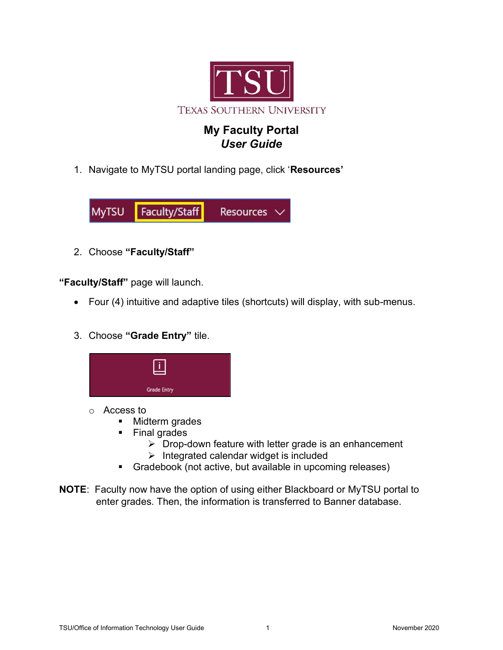

## My Faculty Portal User Guide

1. Navigate to MyTSU portal landing page, click 'Resources'



2. Choose "Faculty/Staff"

"Faculty/Staff" page will launch.

- Four (4) intuitive and adaptive tiles (shortcuts) will display, with sub-menus.
- 3. Choose "Grade Entry" tile.



- o Access to
	- **Midterm grades**
	- **Final grades** 
		- $\triangleright$  Drop-down feature with letter grade is an enhancement
		- $\triangleright$  Integrated calendar widget is included
	- Gradebook (not active, but available in upcoming releases)
- NOTE: Faculty now have the option of using either Blackboard or MyTSU portal to enter grades. Then, the information is transferred to Banner database.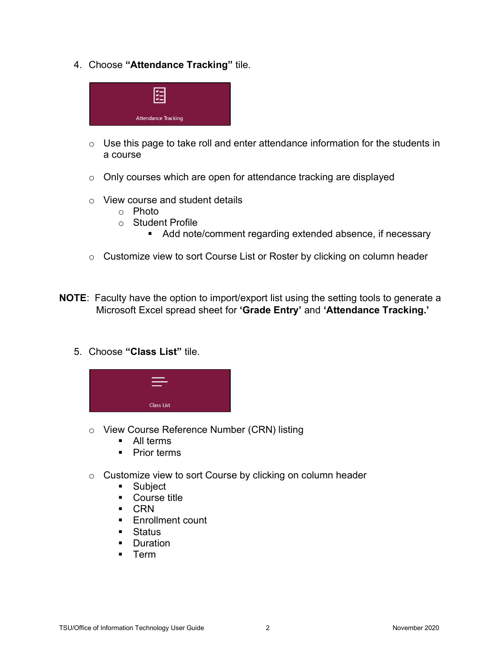4. Choose "Attendance Tracking" tile.



- $\circ$  Use this page to take roll and enter attendance information for the students in a course
- o Only courses which are open for attendance tracking are displayed
- o View course and student details
	- o Photo
	- o Student Profile
		- Add note/comment regarding extended absence, if necessary
- o Customize view to sort Course List or Roster by clicking on column header
- **NOTE:** Faculty have the option to import/export list using the setting tools to generate a Microsoft Excel spread sheet for 'Grade Entry' and 'Attendance Tracking.'
	- 5. Choose "Class List" tile.



- o View Course Reference Number (CRN) listing
	- All terms
	- Prior terms
- o Customize view to sort Course by clicking on column header
	- **Subject**
	- Course title
	- CRN
	- **Enrollment count**
	- **Status**
	- **Duration**
	- **F** Term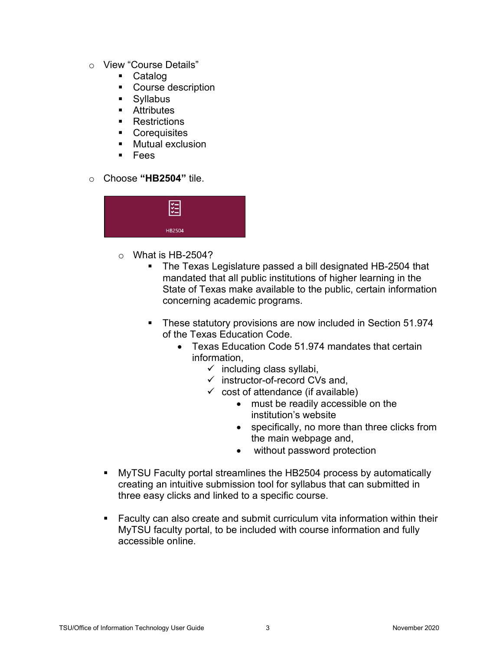- o View "Course Details"
	- Catalog
	- **Course description**
	- Syllabus
	- **Attributes**
	- **Restrictions**
	- **Corequisites**
	- **Mutual exclusion**
	- Fees
- o Choose "HB2504" tile.



- $\circ$  What is HB-2504?
	- The Texas Legislature passed a bill designated HB-2504 that mandated that all public institutions of higher learning in the State of Texas make available to the public, certain information concerning academic programs.
	- **These statutory provisions are now included in Section 51.974** of the Texas Education Code.
		- Texas Education Code 51.974 mandates that certain information,
			- $\checkmark$  including class syllabi,
			- $\checkmark$  instructor-of-record CVs and,
			- $\checkmark$  cost of attendance (if available)
				- must be readily accessible on the institution's website
				- specifically, no more than three clicks from the main webpage and,
				- without password protection
- MyTSU Faculty portal streamlines the HB2504 process by automatically creating an intuitive submission tool for syllabus that can submitted in three easy clicks and linked to a specific course.
- Faculty can also create and submit curriculum vita information within their MyTSU faculty portal, to be included with course information and fully accessible online.